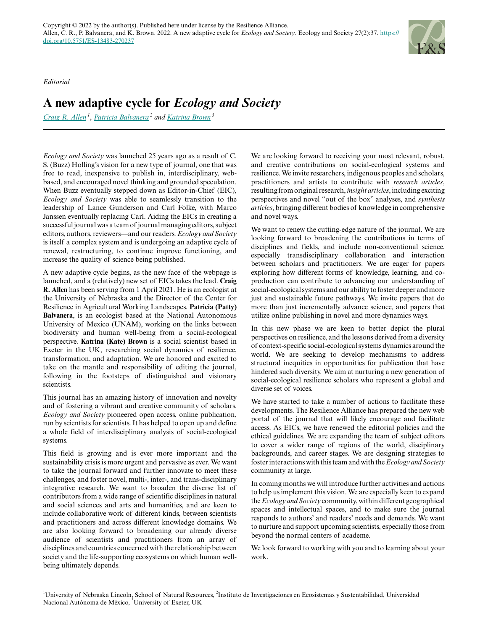*Editorial*

## **A new adaptive cycle for** *Ecology and Society*

*[Craig R. Allen](mailto:callen3@unl.edu)<sup>1</sup>* , *[Patricia Balvanera](mailto:pbalvanera@cieco.unam.mx)<sup>2</sup> and [Katrina Brown](mailto:katrina.brown@exeter.ac.uk)<sup>3</sup>*

*Ecology and Society* was launched 25 years ago as a result of C. S. (Buzz) Holling's vision for a new type of journal, one that was free to read, inexpensive to publish in, interdisciplinary, webbased, and encouraged novel thinking and grounded speculation. When Buzz eventually stepped down as Editor-in-Chief (EIC), *Ecology and Society* was able to seamlessly transition to the leadership of Lance Gunderson and Carl Folke, with Marco Janssen eventually replacing Carl. Aiding the EICs in creating a successful journal was a team of journal managing editors, subject editors, authors, reviewers—and our readers. *Ecology and Society* is itself a complex system and is undergoing an adaptive cycle of renewal, restructuring, to continue improve functioning, and increase the quality of science being published.

A new adaptive cycle begins, as the new face of the webpage is launched, and a (relatively) new set of EICs takes the lead. **Craig R. Allen** has been serving from 1 April 2021. He is an ecologist at the University of Nebraska and the Director of the Center for Resilience in Agricultural Working Landscapes. **Patricia (Patty) Balvanera**, is an ecologist based at the National Autonomous University of Mexico (UNAM), working on the links between biodiversity and human well-being from a social-ecological perspective. **Katrina (Kate) Brown** is a social scientist based in Exeter in the UK, researching social dynamics of resilience, transformation, and adaptation. We are honored and excited to take on the mantle and responsibility of editing the journal, following in the footsteps of distinguished and visionary scientists.

This journal has an amazing history of innovation and novelty and of fostering a vibrant and creative community of scholars. *Ecology and Society* pioneered open access, online publication, run by scientists for scientists. It has helped to open up and define a whole field of interdisciplinary analysis of social-ecological systems.

This field is growing and is ever more important and the sustainability crisis is more urgent and pervasive as ever. We want to take the journal forward and further innovate to meet these challenges, and foster novel, multi-, inter-, and trans-disciplinary integrative research. We want to broaden the diverse list of contributors from a wide range of scientific disciplines in natural and social sciences and arts and humanities, and are keen to include collaborative work of different kinds, between scientists and practitioners and across different knowledge domains. We are also looking forward to broadening our already diverse audience of scientists and practitioners from an array of disciplines and countries concerned with the relationship between society and the life-supporting ecosystems on which human wellbeing ultimately depends.

We are looking forward to receiving your most relevant, robust, and creative contributions on social-ecological systems and resilience. We invite researchers, indigenous peoples and scholars, practitioners and artists to contribute with *research articles*, resulting from original research, *insight articles*, including exciting perspectives and novel "out of the box" analyses, and *synthesis articles*, bringing different bodies of knowledge in comprehensive and novel ways.

We want to renew the cutting-edge nature of the journal. We are looking forward to broadening the contributions in terms of disciplines and fields, and include non-conventional science, especially transdisciplinary collaboration and interaction between scholars and practitioners. We are eager for papers exploring how different forms of knowledge, learning, and coproduction can contribute to advancing our understanding of social-ecological systems and our ability to foster deeper and more just and sustainable future pathways. We invite papers that do more than just incrementally advance science, and papers that utilize online publishing in novel and more dynamics ways.

In this new phase we are keen to better depict the plural perspectives on resilience, and the lessons derived from a diversity of context-specific social-ecological systems dynamics around the world. We are seeking to develop mechanisms to address structural inequities in opportunities for publication that have hindered such diversity. We aim at nurturing a new generation of social-ecological resilience scholars who represent a global and diverse set of voices.

We have started to take a number of actions to facilitate these developments. The Resilience Alliance has prepared the new web portal of the journal that will likely encourage and facilitate access. As EICs, we have renewed the editorial policies and the ethical guidelines. We are expanding the team of subject editors to cover a wider range of regions of the world, disciplinary backgrounds, and career stages. We are designing strategies to foster interactions with this team and with the *Ecology and Society* community at large.

In coming months we will introduce further activities and actions to help us implement this vision. We are especially keen to expand the *Ecology and Society* community, within different geographical spaces and intellectual spaces, and to make sure the journal responds to authors' and readers' needs and demands. We want to nurture and support upcoming scientists, especially those from beyond the normal centers of academe.

We look forward to working with you and to learning about your work.